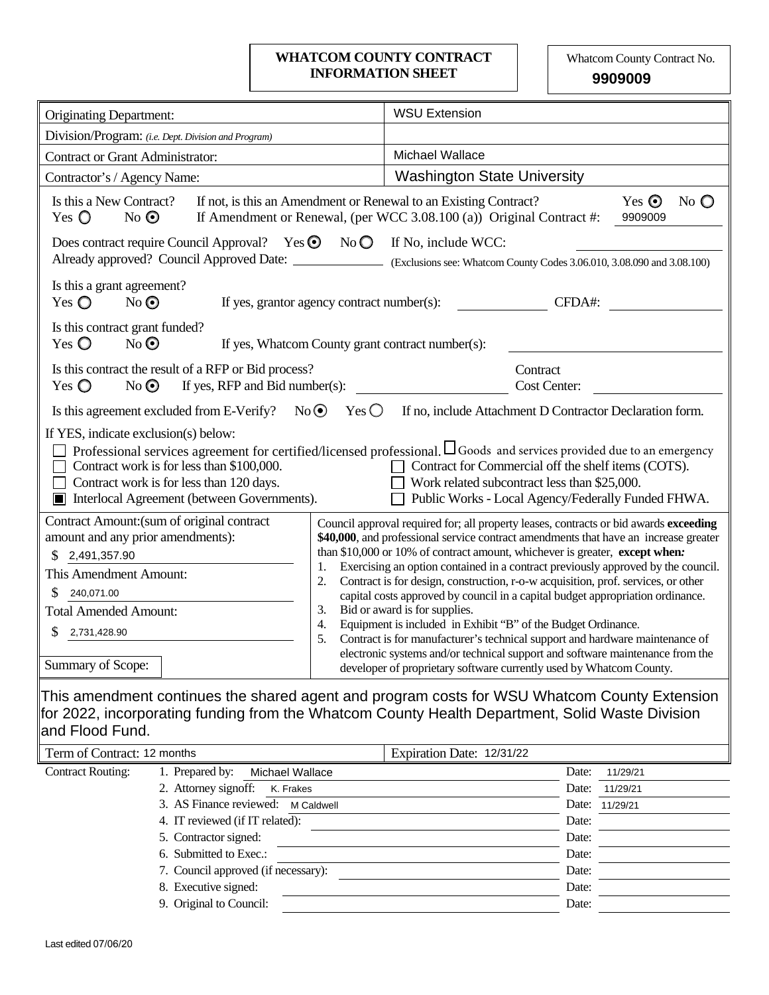### **WHATCOM COUNTY CONTRACT** Whatcom County Contract No. **INFORMATION SHEET**

**9909009**

| <b>Originating Department:</b>                                                                                                                                                                                                                                                                                                                                                                                                                                            | <b>WSU Extension</b>                                                                                                                                                                                                                                                                                                                                                                                                                                                                                                                                                                                                                                                                                      |  |  |  |  |
|---------------------------------------------------------------------------------------------------------------------------------------------------------------------------------------------------------------------------------------------------------------------------------------------------------------------------------------------------------------------------------------------------------------------------------------------------------------------------|-----------------------------------------------------------------------------------------------------------------------------------------------------------------------------------------------------------------------------------------------------------------------------------------------------------------------------------------------------------------------------------------------------------------------------------------------------------------------------------------------------------------------------------------------------------------------------------------------------------------------------------------------------------------------------------------------------------|--|--|--|--|
| Division/Program: (i.e. Dept. Division and Program)                                                                                                                                                                                                                                                                                                                                                                                                                       |                                                                                                                                                                                                                                                                                                                                                                                                                                                                                                                                                                                                                                                                                                           |  |  |  |  |
| <b>Contract or Grant Administrator:</b>                                                                                                                                                                                                                                                                                                                                                                                                                                   | Michael Wallace                                                                                                                                                                                                                                                                                                                                                                                                                                                                                                                                                                                                                                                                                           |  |  |  |  |
| Contractor's / Agency Name:                                                                                                                                                                                                                                                                                                                                                                                                                                               | <b>Washington State University</b>                                                                                                                                                                                                                                                                                                                                                                                                                                                                                                                                                                                                                                                                        |  |  |  |  |
| Is this a New Contract?<br>If not, is this an Amendment or Renewal to an Existing Contract?<br>Yes $\bigcirc$<br>$No$ $\odot$                                                                                                                                                                                                                                                                                                                                             | Yes $\odot$<br>No $\bigcirc$<br>If Amendment or Renewal, (per WCC 3.08.100 (a)) Original Contract #:<br>9909009                                                                                                                                                                                                                                                                                                                                                                                                                                                                                                                                                                                           |  |  |  |  |
| Does contract require Council Approval? Yes $\odot$ No $\odot$<br>Already approved? Council Approved Date: Cxclusions see: Whatcom County Codes 3.06.010, 3.08.090 and 3.08.100)                                                                                                                                                                                                                                                                                          | If No, include WCC:                                                                                                                                                                                                                                                                                                                                                                                                                                                                                                                                                                                                                                                                                       |  |  |  |  |
| Is this a grant agreement?<br>Yes $\bigcirc$<br>$No$ $\odot$<br>If yes, grantor agency contract number(s):                                                                                                                                                                                                                                                                                                                                                                | CFDA#:                                                                                                                                                                                                                                                                                                                                                                                                                                                                                                                                                                                                                                                                                                    |  |  |  |  |
| Is this contract grant funded?<br>Yes $\mathbb O$<br>$No$ $\odot$<br>If yes, Whatcom County grant contract number(s):                                                                                                                                                                                                                                                                                                                                                     |                                                                                                                                                                                                                                                                                                                                                                                                                                                                                                                                                                                                                                                                                                           |  |  |  |  |
| Is this contract the result of a RFP or Bid process?<br>If yes, RFP and Bid number(s):<br>Yes $\bigcirc$<br>$No$ $\odot$                                                                                                                                                                                                                                                                                                                                                  | Contract<br>Cost Center:                                                                                                                                                                                                                                                                                                                                                                                                                                                                                                                                                                                                                                                                                  |  |  |  |  |
| $Yes$ $\bigcirc$<br>Is this agreement excluded from E-Verify? No $\odot$                                                                                                                                                                                                                                                                                                                                                                                                  | If no, include Attachment D Contractor Declaration form.                                                                                                                                                                                                                                                                                                                                                                                                                                                                                                                                                                                                                                                  |  |  |  |  |
| If YES, indicate exclusion(s) below:<br>Professional services agreement for certified/licensed professional. Loods and services provided due to an emergency<br>Contract for Commercial off the shelf items (COTS).<br>Contract work is for less than \$100,000.<br>Work related subcontract less than \$25,000.<br>Contract work is for less than 120 days.<br>Public Works - Local Agency/Federally Funded FHWA.<br>Interlocal Agreement (between Governments).<br>I II |                                                                                                                                                                                                                                                                                                                                                                                                                                                                                                                                                                                                                                                                                                           |  |  |  |  |
| Contract Amount: (sum of original contract<br>amount and any prior amendments):<br>2,491,357.90<br>\$.<br>1.<br>This Amendment Amount:<br>2.<br>240,071.00<br>3.<br><b>Total Amended Amount:</b><br>4.<br>S<br>2,731,428.90<br>5.                                                                                                                                                                                                                                         | Council approval required for; all property leases, contracts or bid awards exceeding<br>\$40,000, and professional service contract amendments that have an increase greater<br>than \$10,000 or 10% of contract amount, whichever is greater, except when:<br>Exercising an option contained in a contract previously approved by the council.<br>Contract is for design, construction, r-o-w acquisition, prof. services, or other<br>capital costs approved by council in a capital budget appropriation ordinance.<br>Bid or award is for supplies.<br>Equipment is included in Exhibit "B" of the Budget Ordinance.<br>Contract is for manufacturer's technical support and hardware maintenance of |  |  |  |  |
| Summary of Scope:                                                                                                                                                                                                                                                                                                                                                                                                                                                         | electronic systems and/or technical support and software maintenance from the<br>developer of proprietary software currently used by Whatcom County.                                                                                                                                                                                                                                                                                                                                                                                                                                                                                                                                                      |  |  |  |  |
| This amendment continues the shared agent and program costs for WSU Whatcom County Extension<br>for 2022, incorporating funding from the Whatcom County Health Department, Solid Waste Division<br>and Flood Fund.<br>Term of Contract: 12 months<br>Expiration Date: 12/31/22                                                                                                                                                                                            |                                                                                                                                                                                                                                                                                                                                                                                                                                                                                                                                                                                                                                                                                                           |  |  |  |  |
|                                                                                                                                                                                                                                                                                                                                                                                                                                                                           |                                                                                                                                                                                                                                                                                                                                                                                                                                                                                                                                                                                                                                                                                                           |  |  |  |  |

| Term of Contract: 12 months |                                     | Expiration Date: 12/31/22 |       |                |
|-----------------------------|-------------------------------------|---------------------------|-------|----------------|
| <b>Contract Routing:</b>    | 1. Prepared by:<br>Michael Wallace  |                           | Date: | 11/29/21       |
|                             | 2. Attorney signoff:<br>K. Frakes   |                           | Date: | 11/29/21       |
|                             | 3. AS Finance reviewed: M Caldwell  |                           |       | Date: 11/29/21 |
|                             | 4. IT reviewed (if IT related):     |                           | Date: |                |
|                             | 5. Contractor signed:               |                           | Date: |                |
|                             | 6. Submitted to Exec.:              |                           | Date: |                |
|                             | 7. Council approved (if necessary): |                           | Date: |                |
|                             | 8. Executive signed:                |                           | Date: |                |
|                             | 9. Original to Council:             |                           | Date: |                |
|                             |                                     |                           |       |                |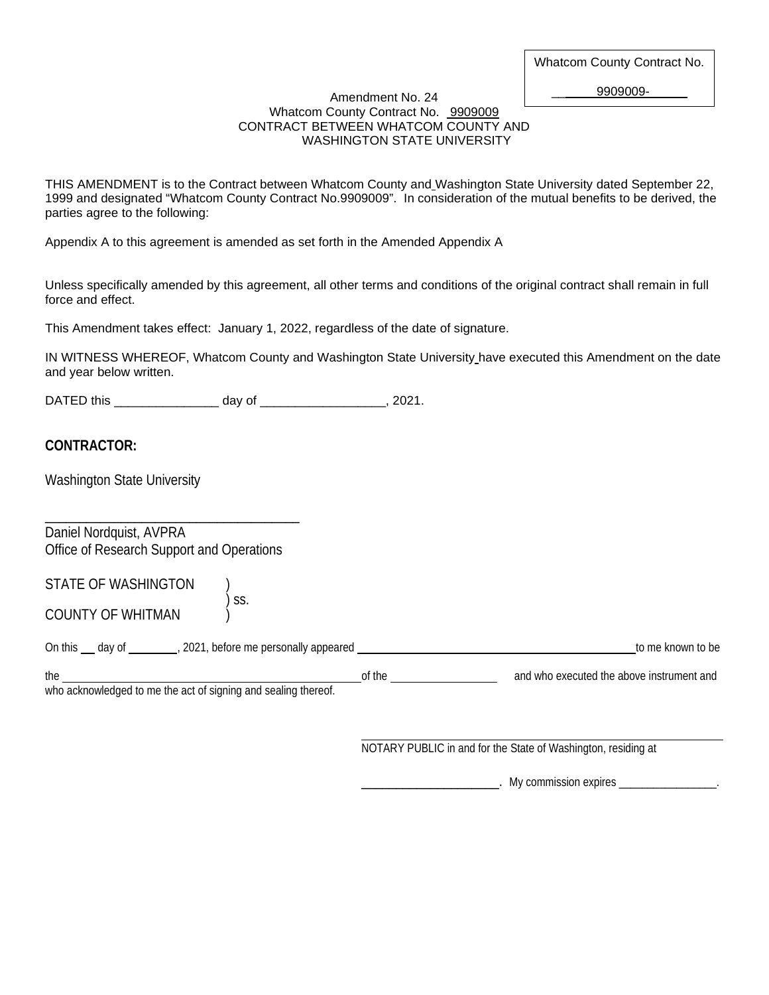\_\_ 9909009-

#### Amendment No. 24 Whatcom County Contract No. 9909009 CONTRACT BETWEEN WHATCOM COUNTY AND WASHINGTON STATE UNIVERSITY

THIS AMENDMENT is to the Contract between Whatcom County and Washington State University dated September 22, 1999 and designated "Whatcom County Contract No.9909009". In consideration of the mutual benefits to be derived, the parties agree to the following:

Appendix A to this agreement is amended as set forth in the Amended Appendix A

Unless specifically amended by this agreement, all other terms and conditions of the original contract shall remain in full force and effect.

This Amendment takes effect: January 1, 2022, regardless of the date of signature.

IN WITNESS WHEREOF, Whatcom County and Washington State University have executed this Amendment on the date and year below written.

DATED this \_\_\_\_\_\_\_\_\_\_\_\_\_\_\_ day of \_\_\_\_\_\_\_\_\_\_\_\_\_\_\_\_\_\_, 2021.

) ss.

### **CONTRACTOR:**

Washington State University

\_\_\_\_\_\_\_\_\_\_\_\_\_\_\_\_\_\_\_\_\_\_\_\_\_\_\_\_\_\_\_\_\_\_\_\_\_ Daniel Nordquist, AVPRA Office of Research Support and Operations

| STATE OF WASHINGTON |  |
|---------------------|--|
|---------------------|--|

COUNTY OF WHITMAN

On this include that day of  $\frac{1}{2}$ , 2021, before me personally appeared  $\frac{1}{2}$ ,  $\frac{1}{2}$ ,  $\frac{1}{2}$ ,  $\frac{1}{2}$ ,  $\frac{1}{2}$ ,  $\frac{1}{2}$ ,  $\frac{1}{2}$  to me known to be

| the                                                           | io executed the above instrument.<br>' and<br>and<br>who |
|---------------------------------------------------------------|----------------------------------------------------------|
| who acknowledged to me the act of cigning and cooling thereof |                                                          |

who acknowledged to me the act of signing and sealing thereof.

NOTARY PUBLIC in and for the State of Washington, residing at

\_\_\_\_\_\_\_\_\_\_\_\_\_\_\_\_\_\_\_\_. My commission expires \_\_\_\_\_\_\_\_\_\_\_\_\_\_\_\_\_.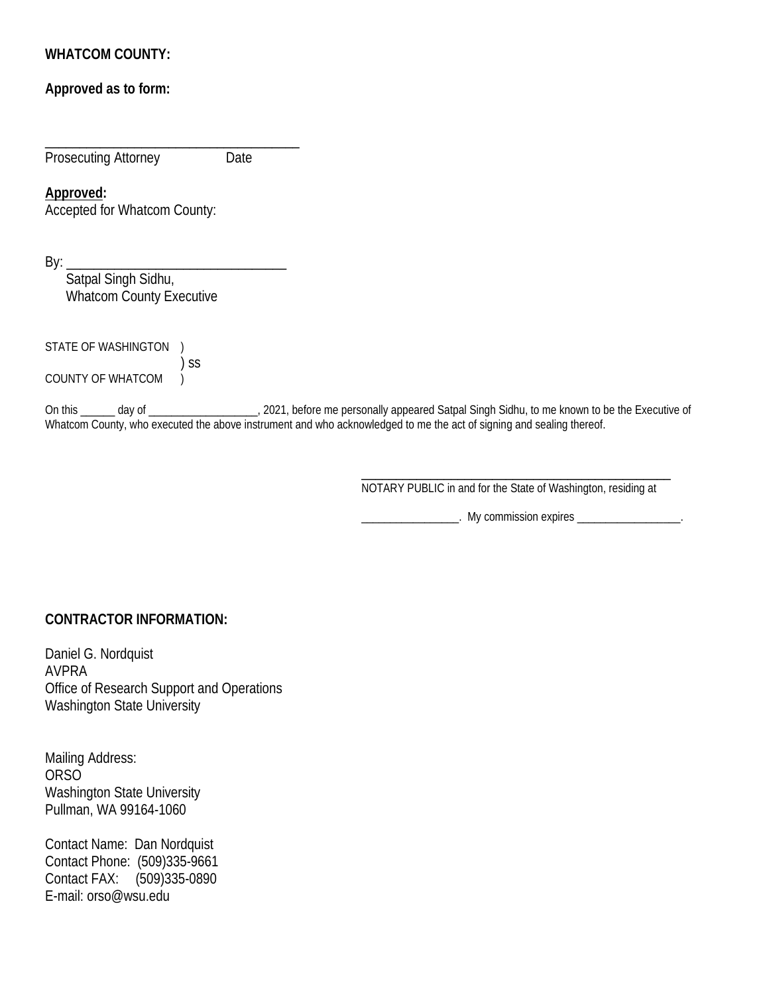# **WHATCOM COUNTY:**

# **Approved as to form:**

\_\_\_\_\_\_\_\_\_\_\_\_\_\_\_\_\_\_\_\_\_\_\_\_\_\_\_\_\_\_\_\_\_\_\_\_\_ Prosecuting Attorney Date

### **Approved:**

Accepted for Whatcom County:

By: \_\_\_\_\_\_\_\_\_\_\_\_\_\_\_\_\_\_\_\_\_\_\_\_\_\_\_\_\_\_\_\_

 Satpal Singh Sidhu, Whatcom County Executive

STATE OF WASHINGTON ) ) ss

COUNTY OF WHATCOM  $\overrightarrow{)}$ 

On this \_\_\_\_\_\_ day of \_\_\_\_\_\_\_\_\_\_\_\_\_\_\_\_\_\_\_\_, 2021, before me personally appeared Satpal Singh Sidhu, to me known to be the Executive of Whatcom County, who executed the above instrument and who acknowledged to me the act of signing and sealing thereof.

> \_\_\_\_\_\_\_\_\_\_\_\_\_\_\_\_\_\_\_\_\_\_\_\_\_\_\_\_\_\_\_\_\_\_\_\_\_\_\_\_\_\_\_\_\_ NOTARY PUBLIC in and for the State of Washington, residing at

**\_\_\_\_\_\_\_\_\_\_\_\_\_\_\_\_\_**. My commission expires \_\_\_\_\_\_\_\_\_\_\_\_\_\_\_\_\_\_\_\_\_\_\_.

# **CONTRACTOR INFORMATION:**

Daniel G. Nordquist AVPRA Office of Research Support and Operations Washington State University

Mailing Address: ORSO Washington State University Pullman, WA 99164-1060

Contact Name: Dan Nordquist Contact Phone: (509)335-9661 Contact FAX: (509)335-0890 E-mail: orso@wsu.edu